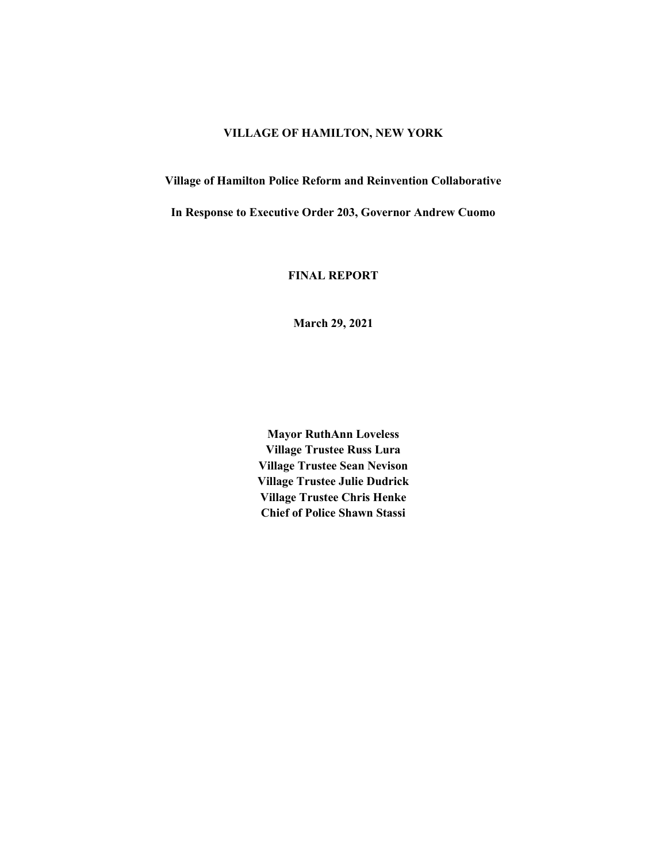## **VILLAGE OF HAMILTON, NEW YORK**

**Village of Hamilton Police Reform and Reinvention Collaborative** 

**In Response to Executive Order 203, Governor Andrew Cuomo**

**FINAL REPORT**

**March 29, 2021**

**Mayor RuthAnn Loveless Village Trustee Russ Lura Village Trustee Sean Nevison Village Trustee Julie Dudrick Village Trustee Chris Henke Chief of Police Shawn Stassi**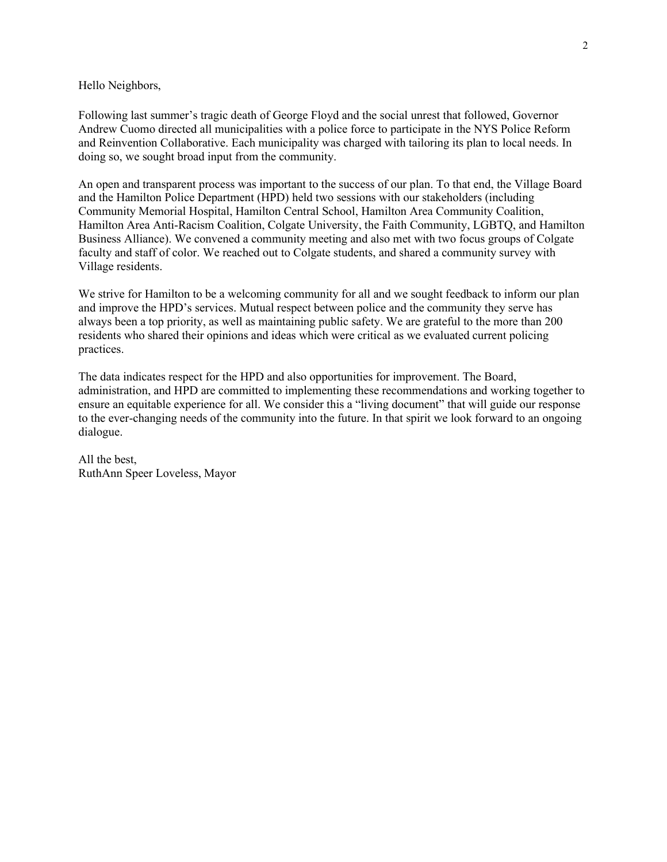Hello Neighbors,

Following last summer's tragic death of George Floyd and the social unrest that followed, Governor Andrew Cuomo directed all municipalities with a police force to participate in the NYS Police Reform and Reinvention Collaborative. Each municipality was charged with tailoring its plan to local needs. In doing so, we sought broad input from the community.

An open and transparent process was important to the success of our plan. To that end, the Village Board and the Hamilton Police Department (HPD) held two sessions with our stakeholders (including Community Memorial Hospital, Hamilton Central School, Hamilton Area Community Coalition, Hamilton Area Anti-Racism Coalition, Colgate University, the Faith Community, LGBTQ, and Hamilton Business Alliance). We convened a community meeting and also met with two focus groups of Colgate faculty and staff of color. We reached out to Colgate students, and shared a community survey with Village residents.

We strive for Hamilton to be a welcoming community for all and we sought feedback to inform our plan and improve the HPD's services. Mutual respect between police and the community they serve has always been a top priority, as well as maintaining public safety. We are grateful to the more than 200 residents who shared their opinions and ideas which were critical as we evaluated current policing practices.

The data indicates respect for the HPD and also opportunities for improvement. The Board, administration, and HPD are committed to implementing these recommendations and working together to ensure an equitable experience for all. We consider this a "living document" that will guide our response to the ever-changing needs of the community into the future. In that spirit we look forward to an ongoing dialogue.

All the best, RuthAnn Speer Loveless, Mayor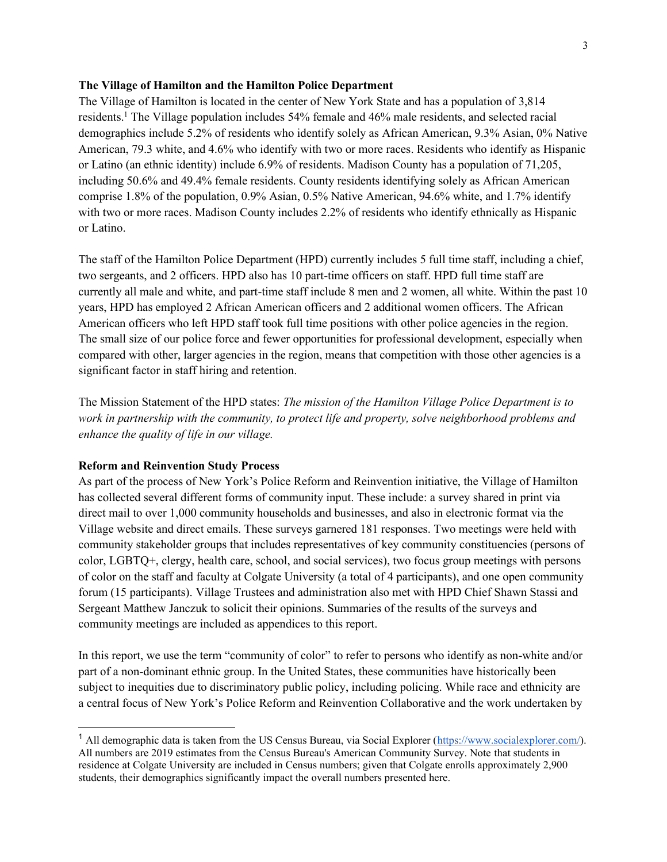### **The Village of Hamilton and the Hamilton Police Department**

The Village of Hamilton is located in the center of New York State and has a population of 3,814 residents.<sup>1</sup> The Village population includes 54% female and 46% male residents, and selected racial demographics include 5.2% of residents who identify solely as African American, 9.3% Asian, 0% Native American, 79.3 white, and 4.6% who identify with two or more races. Residents who identify as Hispanic or Latino (an ethnic identity) include 6.9% of residents. Madison County has a population of 71,205, including 50.6% and 49.4% female residents. County residents identifying solely as African American comprise 1.8% of the population, 0.9% Asian, 0.5% Native American, 94.6% white, and 1.7% identify with two or more races. Madison County includes 2.2% of residents who identify ethnically as Hispanic or Latino.

The staff of the Hamilton Police Department (HPD) currently includes 5 full time staff, including a chief, two sergeants, and 2 officers. HPD also has 10 part-time officers on staff. HPD full time staff are currently all male and white, and part-time staff include 8 men and 2 women, all white. Within the past 10 years, HPD has employed 2 African American officers and 2 additional women officers. The African American officers who left HPD staff took full time positions with other police agencies in the region. The small size of our police force and fewer opportunities for professional development, especially when compared with other, larger agencies in the region, means that competition with those other agencies is a significant factor in staff hiring and retention.

The Mission Statement of the HPD states: *The mission of the Hamilton Village Police Department is to work in partnership with the community, to protect life and property, solve neighborhood problems and enhance the quality of life in our village.*

### **Reform and Reinvention Study Process**

As part of the process of New York's Police Reform and Reinvention initiative, the Village of Hamilton has collected several different forms of community input. These include: a survey shared in print via direct mail to over 1,000 community households and businesses, and also in electronic format via the Village website and direct emails. These surveys garnered 181 responses. Two meetings were held with community stakeholder groups that includes representatives of key community constituencies (persons of color, LGBTQ+, clergy, health care, school, and social services), two focus group meetings with persons of color on the staff and faculty at Colgate University (a total of 4 participants), and one open community forum (15 participants). Village Trustees and administration also met with HPD Chief Shawn Stassi and Sergeant Matthew Janczuk to solicit their opinions. Summaries of the results of the surveys and community meetings are included as appendices to this report.

In this report, we use the term "community of color" to refer to persons who identify as non-white and/or part of a non-dominant ethnic group. In the United States, these communities have historically been subject to inequities due to discriminatory public policy, including policing. While race and ethnicity are a central focus of New York's Police Reform and Reinvention Collaborative and the work undertaken by

<sup>&</sup>lt;sup>1</sup> All demographic data is taken from the US Census Bureau, via Social Explorer [\(https://www.socialexplorer.com/\)](https://www.socialexplorer.com/). All numbers are 2019 estimates from the Census Bureau's American Community Survey. Note that students in residence at Colgate University are included in Census numbers; given that Colgate enrolls approximately 2,900 students, their demographics significantly impact the overall numbers presented here.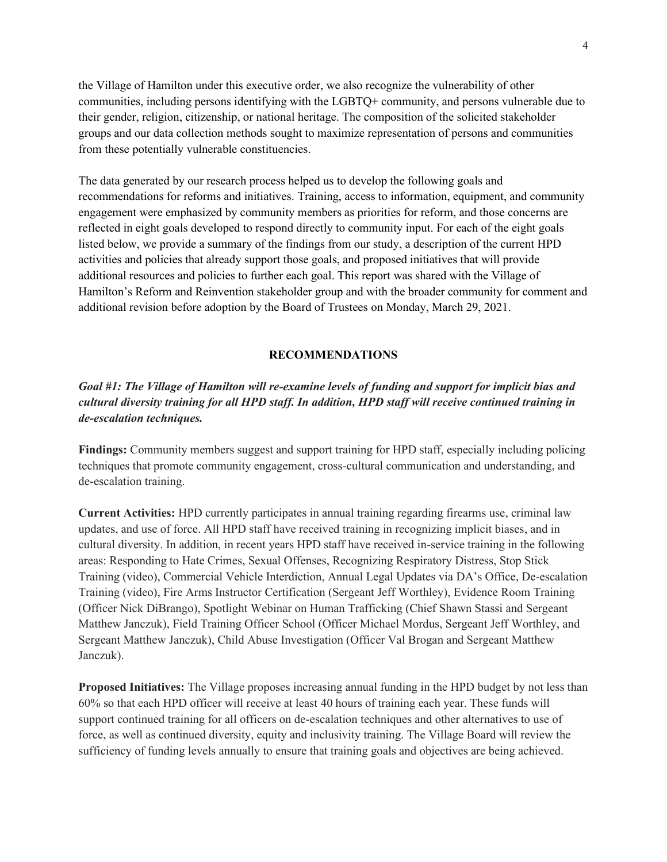the Village of Hamilton under this executive order, we also recognize the vulnerability of other communities, including persons identifying with the LGBTQ+ community, and persons vulnerable due to their gender, religion, citizenship, or national heritage. The composition of the solicited stakeholder groups and our data collection methods sought to maximize representation of persons and communities from these potentially vulnerable constituencies.

The data generated by our research process helped us to develop the following goals and recommendations for reforms and initiatives. Training, access to information, equipment, and community engagement were emphasized by community members as priorities for reform, and those concerns are reflected in eight goals developed to respond directly to community input. For each of the eight goals listed below, we provide a summary of the findings from our study, a description of the current HPD activities and policies that already support those goals, and proposed initiatives that will provide additional resources and policies to further each goal. This report was shared with the Village of Hamilton's Reform and Reinvention stakeholder group and with the broader community for comment and additional revision before adoption by the Board of Trustees on Monday, March 29, 2021.

#### **RECOMMENDATIONS**

# *Goal #1: The Village of Hamilton will re-examine levels of funding and support for implicit bias and cultural diversity training for all HPD staff. In addition, HPD staff will receive continued training in de-escalation techniques.*

**Findings:** Community members suggest and support training for HPD staff, especially including policing techniques that promote community engagement, cross-cultural communication and understanding, and de-escalation training.

**Current Activities:** HPD currently participates in annual training regarding firearms use, criminal law updates, and use of force. All HPD staff have received training in recognizing implicit biases, and in cultural diversity. In addition, in recent years HPD staff have received in-service training in the following areas: Responding to Hate Crimes, Sexual Offenses, Recognizing Respiratory Distress, Stop Stick Training (video), Commercial Vehicle Interdiction, Annual Legal Updates via DA's Office, De-escalation Training (video), Fire Arms Instructor Certification (Sergeant Jeff Worthley), Evidence Room Training (Officer Nick DiBrango), Spotlight Webinar on Human Trafficking (Chief Shawn Stassi and Sergeant Matthew Janczuk), Field Training Officer School (Officer Michael Mordus, Sergeant Jeff Worthley, and Sergeant Matthew Janczuk), Child Abuse Investigation (Officer Val Brogan and Sergeant Matthew Janczuk).

**Proposed Initiatives:** The Village proposes increasing annual funding in the HPD budget by not less than 60% so that each HPD officer will receive at least 40 hours of training each year. These funds will support continued training for all officers on de-escalation techniques and other alternatives to use of force, as well as continued diversity, equity and inclusivity training. The Village Board will review the sufficiency of funding levels annually to ensure that training goals and objectives are being achieved.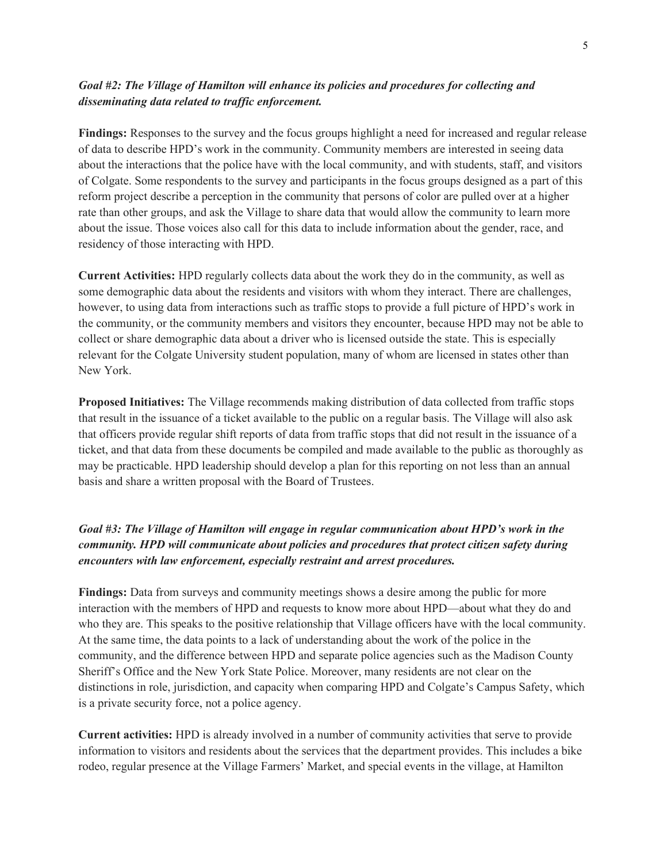## *Goal #2: The Village of Hamilton will enhance its policies and procedures for collecting and disseminating data related to traffic enforcement.*

**Findings:** Responses to the survey and the focus groups highlight a need for increased and regular release of data to describe HPD's work in the community. Community members are interested in seeing data about the interactions that the police have with the local community, and with students, staff, and visitors of Colgate. Some respondents to the survey and participants in the focus groups designed as a part of this reform project describe a perception in the community that persons of color are pulled over at a higher rate than other groups, and ask the Village to share data that would allow the community to learn more about the issue. Those voices also call for this data to include information about the gender, race, and residency of those interacting with HPD.

**Current Activities:** HPD regularly collects data about the work they do in the community, as well as some demographic data about the residents and visitors with whom they interact. There are challenges, however, to using data from interactions such as traffic stops to provide a full picture of HPD's work in the community, or the community members and visitors they encounter, because HPD may not be able to collect or share demographic data about a driver who is licensed outside the state. This is especially relevant for the Colgate University student population, many of whom are licensed in states other than New York.

**Proposed Initiatives:** The Village recommends making distribution of data collected from traffic stops that result in the issuance of a ticket available to the public on a regular basis. The Village will also ask that officers provide regular shift reports of data from traffic stops that did not result in the issuance of a ticket, and that data from these documents be compiled and made available to the public as thoroughly as may be practicable. HPD leadership should develop a plan for this reporting on not less than an annual basis and share a written proposal with the Board of Trustees.

# *Goal #3: The Village of Hamilton will engage in regular communication about HPD's work in the community. HPD will communicate about policies and procedures that protect citizen safety during encounters with law enforcement, especially restraint and arrest procedures.*

**Findings:** Data from surveys and community meetings shows a desire among the public for more interaction with the members of HPD and requests to know more about HPD—about what they do and who they are. This speaks to the positive relationship that Village officers have with the local community. At the same time, the data points to a lack of understanding about the work of the police in the community, and the difference between HPD and separate police agencies such as the Madison County Sheriff's Office and the New York State Police. Moreover, many residents are not clear on the distinctions in role, jurisdiction, and capacity when comparing HPD and Colgate's Campus Safety, which is a private security force, not a police agency.

**Current activities:** HPD is already involved in a number of community activities that serve to provide information to visitors and residents about the services that the department provides. This includes a bike rodeo, regular presence at the Village Farmers' Market, and special events in the village, at Hamilton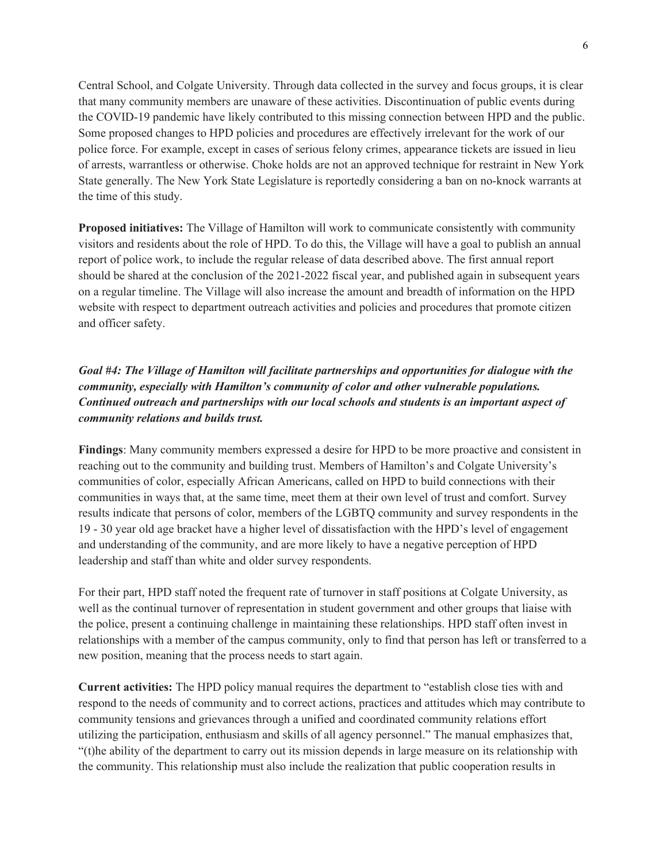Central School, and Colgate University. Through data collected in the survey and focus groups, it is clear that many community members are unaware of these activities. Discontinuation of public events during the COVID-19 pandemic have likely contributed to this missing connection between HPD and the public. Some proposed changes to HPD policies and procedures are effectively irrelevant for the work of our police force. For example, except in cases of serious felony crimes, appearance tickets are issued in lieu of arrests, warrantless or otherwise. Choke holds are not an approved technique for restraint in New York State generally. The New York State Legislature is reportedly considering a ban on no-knock warrants at the time of this study.

**Proposed initiatives:** The Village of Hamilton will work to communicate consistently with community visitors and residents about the role of HPD. To do this, the Village will have a goal to publish an annual report of police work, to include the regular release of data described above. The first annual report should be shared at the conclusion of the 2021-2022 fiscal year, and published again in subsequent years on a regular timeline. The Village will also increase the amount and breadth of information on the HPD website with respect to department outreach activities and policies and procedures that promote citizen and officer safety.

# *Goal #4: The Village of Hamilton will facilitate partnerships and opportunities for dialogue with the community, especially with Hamilton's community of color and other vulnerable populations. Continued outreach and partnerships with our local schools and students is an important aspect of community relations and builds trust.*

**Findings**: Many community members expressed a desire for HPD to be more proactive and consistent in reaching out to the community and building trust. Members of Hamilton's and Colgate University's communities of color, especially African Americans, called on HPD to build connections with their communities in ways that, at the same time, meet them at their own level of trust and comfort. Survey results indicate that persons of color, members of the LGBTQ community and survey respondents in the 19 - 30 year old age bracket have a higher level of dissatisfaction with the HPD's level of engagement and understanding of the community, and are more likely to have a negative perception of HPD leadership and staff than white and older survey respondents.

For their part, HPD staff noted the frequent rate of turnover in staff positions at Colgate University, as well as the continual turnover of representation in student government and other groups that liaise with the police, present a continuing challenge in maintaining these relationships. HPD staff often invest in relationships with a member of the campus community, only to find that person has left or transferred to a new position, meaning that the process needs to start again.

**Current activities:** The HPD policy manual requires the department to "establish close ties with and respond to the needs of community and to correct actions, practices and attitudes which may contribute to community tensions and grievances through a unified and coordinated community relations effort utilizing the participation, enthusiasm and skills of all agency personnel." The manual emphasizes that, "(t)he ability of the department to carry out its mission depends in large measure on its relationship with the community. This relationship must also include the realization that public cooperation results in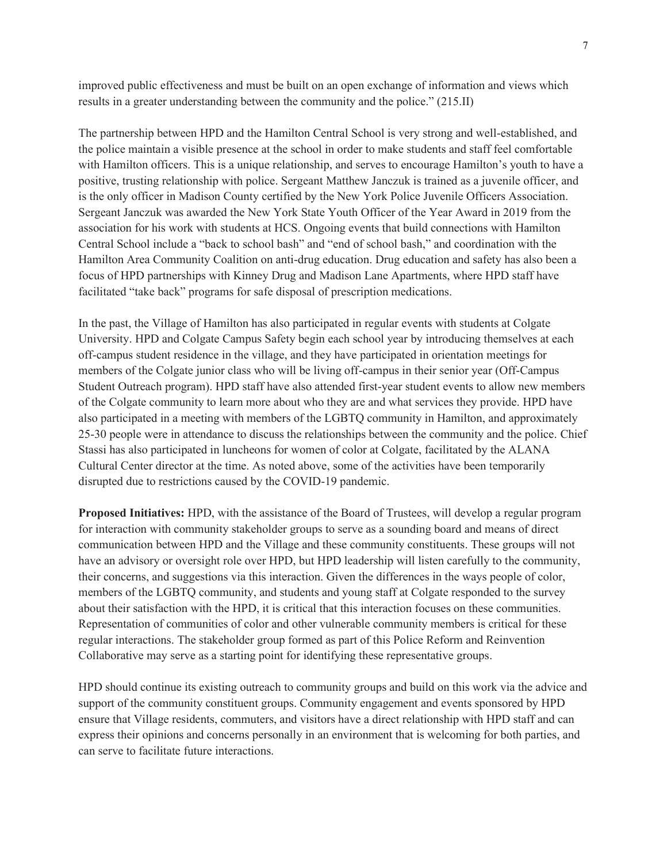improved public effectiveness and must be built on an open exchange of information and views which results in a greater understanding between the community and the police." (215.II)

The partnership between HPD and the Hamilton Central School is very strong and well-established, and the police maintain a visible presence at the school in order to make students and staff feel comfortable with Hamilton officers. This is a unique relationship, and serves to encourage Hamilton's youth to have a positive, trusting relationship with police. Sergeant Matthew Janczuk is trained as a juvenile officer, and is the only officer in Madison County certified by the New York Police Juvenile Officers Association. Sergeant Janczuk was awarded the New York State Youth Officer of the Year Award in 2019 from the association for his work with students at HCS. Ongoing events that build connections with Hamilton Central School include a "back to school bash" and "end of school bash," and coordination with the Hamilton Area Community Coalition on anti-drug education. Drug education and safety has also been a focus of HPD partnerships with Kinney Drug and Madison Lane Apartments, where HPD staff have facilitated "take back" programs for safe disposal of prescription medications.

In the past, the Village of Hamilton has also participated in regular events with students at Colgate University. HPD and Colgate Campus Safety begin each school year by introducing themselves at each off-campus student residence in the village, and they have participated in orientation meetings for members of the Colgate junior class who will be living off-campus in their senior year (Off-Campus Student Outreach program). HPD staff have also attended first-year student events to allow new members of the Colgate community to learn more about who they are and what services they provide. HPD have also participated in a meeting with members of the LGBTQ community in Hamilton, and approximately 25-30 people were in attendance to discuss the relationships between the community and the police. Chief Stassi has also participated in luncheons for women of color at Colgate, facilitated by the ALANA Cultural Center director at the time. As noted above, some of the activities have been temporarily disrupted due to restrictions caused by the COVID-19 pandemic.

**Proposed Initiatives:** HPD, with the assistance of the Board of Trustees, will develop a regular program for interaction with community stakeholder groups to serve as a sounding board and means of direct communication between HPD and the Village and these community constituents. These groups will not have an advisory or oversight role over HPD, but HPD leadership will listen carefully to the community, their concerns, and suggestions via this interaction. Given the differences in the ways people of color, members of the LGBTQ community, and students and young staff at Colgate responded to the survey about their satisfaction with the HPD, it is critical that this interaction focuses on these communities. Representation of communities of color and other vulnerable community members is critical for these regular interactions. The stakeholder group formed as part of this Police Reform and Reinvention Collaborative may serve as a starting point for identifying these representative groups.

HPD should continue its existing outreach to community groups and build on this work via the advice and support of the community constituent groups. Community engagement and events sponsored by HPD ensure that Village residents, commuters, and visitors have a direct relationship with HPD staff and can express their opinions and concerns personally in an environment that is welcoming for both parties, and can serve to facilitate future interactions.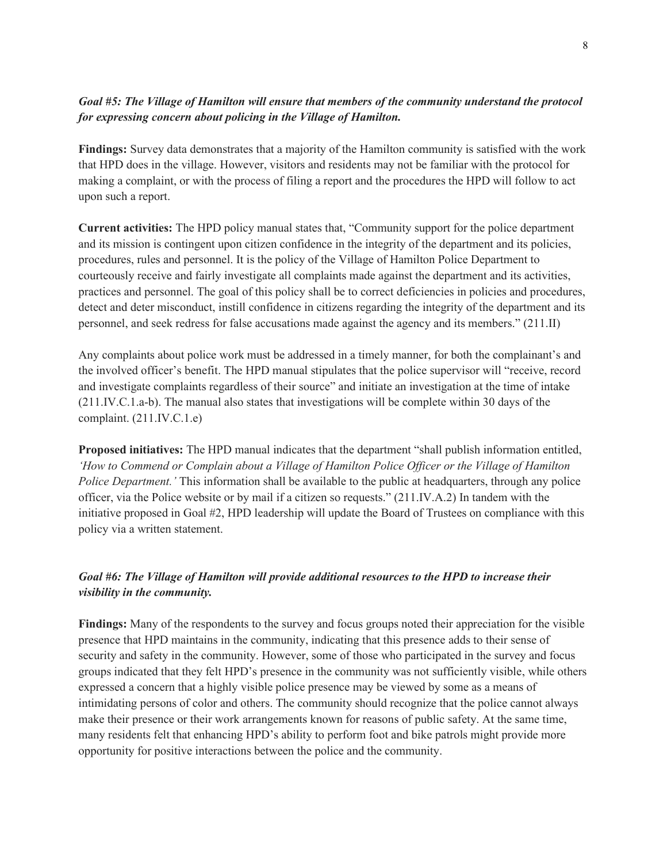# *Goal #5: The Village of Hamilton will ensure that members of the community understand the protocol for expressing concern about policing in the Village of Hamilton.*

**Findings:** Survey data demonstrates that a majority of the Hamilton community is satisfied with the work that HPD does in the village. However, visitors and residents may not be familiar with the protocol for making a complaint, or with the process of filing a report and the procedures the HPD will follow to act upon such a report.

**Current activities:** The HPD policy manual states that, "Community support for the police department and its mission is contingent upon citizen confidence in the integrity of the department and its policies, procedures, rules and personnel. It is the policy of the Village of Hamilton Police Department to courteously receive and fairly investigate all complaints made against the department and its activities, practices and personnel. The goal of this policy shall be to correct deficiencies in policies and procedures, detect and deter misconduct, instill confidence in citizens regarding the integrity of the department and its personnel, and seek redress for false accusations made against the agency and its members." (211.II)

Any complaints about police work must be addressed in a timely manner, for both the complainant's and the involved officer's benefit. The HPD manual stipulates that the police supervisor will "receive, record and investigate complaints regardless of their source" and initiate an investigation at the time of intake (211.IV.C.1.a-b). The manual also states that investigations will be complete within 30 days of the complaint. (211.IV.C.1.e)

**Proposed initiatives:** The HPD manual indicates that the department "shall publish information entitled, *'How to Commend or Complain about a Village of Hamilton Police Officer or the Village of Hamilton Police Department.'* This information shall be available to the public at headquarters, through any police officer, via the Police website or by mail if a citizen so requests." (211.IV.A.2) In tandem with the initiative proposed in Goal #2, HPD leadership will update the Board of Trustees on compliance with this policy via a written statement.

# *Goal #6: The Village of Hamilton will provide additional resources to the HPD to increase their visibility in the community.*

**Findings:** Many of the respondents to the survey and focus groups noted their appreciation for the visible presence that HPD maintains in the community, indicating that this presence adds to their sense of security and safety in the community. However, some of those who participated in the survey and focus groups indicated that they felt HPD's presence in the community was not sufficiently visible, while others expressed a concern that a highly visible police presence may be viewed by some as a means of intimidating persons of color and others. The community should recognize that the police cannot always make their presence or their work arrangements known for reasons of public safety. At the same time, many residents felt that enhancing HPD's ability to perform foot and bike patrols might provide more opportunity for positive interactions between the police and the community.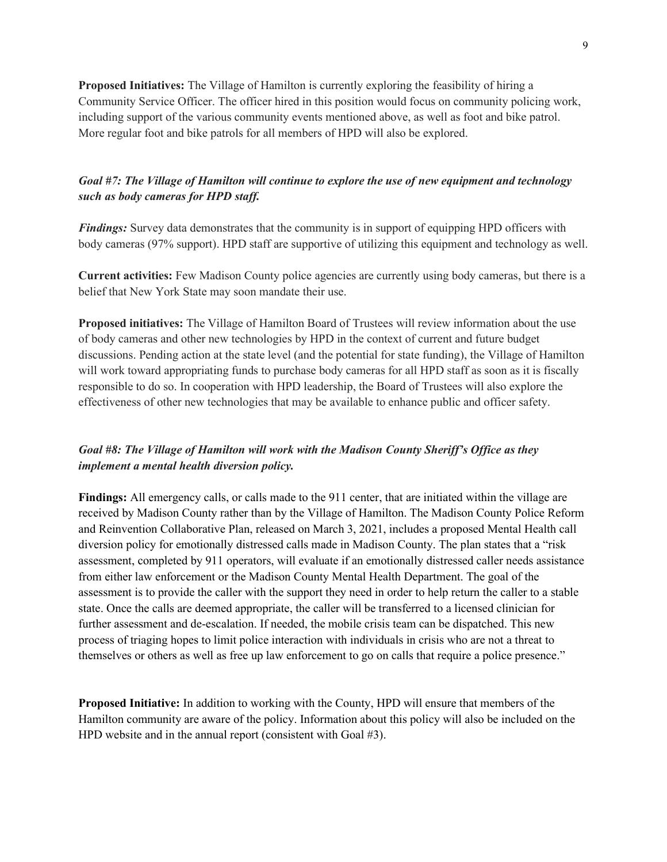**Proposed Initiatives:** The Village of Hamilton is currently exploring the feasibility of hiring a Community Service Officer. The officer hired in this position would focus on community policing work, including support of the various community events mentioned above, as well as foot and bike patrol. More regular foot and bike patrols for all members of HPD will also be explored.

# *Goal #7: The Village of Hamilton will continue to explore the use of new equipment and technology such as body cameras for HPD staff.*

*Findings:* Survey data demonstrates that the community is in support of equipping HPD officers with body cameras (97% support). HPD staff are supportive of utilizing this equipment and technology as well.

**Current activities:** Few Madison County police agencies are currently using body cameras, but there is a belief that New York State may soon mandate their use.

**Proposed initiatives:** The Village of Hamilton Board of Trustees will review information about the use of body cameras and other new technologies by HPD in the context of current and future budget discussions. Pending action at the state level (and the potential for state funding), the Village of Hamilton will work toward appropriating funds to purchase body cameras for all HPD staff as soon as it is fiscally responsible to do so. In cooperation with HPD leadership, the Board of Trustees will also explore the effectiveness of other new technologies that may be available to enhance public and officer safety.

# *Goal #8: The Village of Hamilton will work with the Madison County Sheriff's Office as they implement a mental health diversion policy.*

**Findings:** All emergency calls, or calls made to the 911 center, that are initiated within the village are received by Madison County rather than by the Village of Hamilton. The Madison County Police Reform and Reinvention Collaborative Plan, released on March 3, 2021, includes a proposed Mental Health call diversion policy for emotionally distressed calls made in Madison County. The plan states that a "risk assessment, completed by 911 operators, will evaluate if an emotionally distressed caller needs assistance from either law enforcement or the Madison County Mental Health Department. The goal of the assessment is to provide the caller with the support they need in order to help return the caller to a stable state. Once the calls are deemed appropriate, the caller will be transferred to a licensed clinician for further assessment and de-escalation. If needed, the mobile crisis team can be dispatched. This new process of triaging hopes to limit police interaction with individuals in crisis who are not a threat to themselves or others as well as free up law enforcement to go on calls that require a police presence."

**Proposed Initiative:** In addition to working with the County, HPD will ensure that members of the Hamilton community are aware of the policy. Information about this policy will also be included on the HPD website and in the annual report (consistent with Goal #3).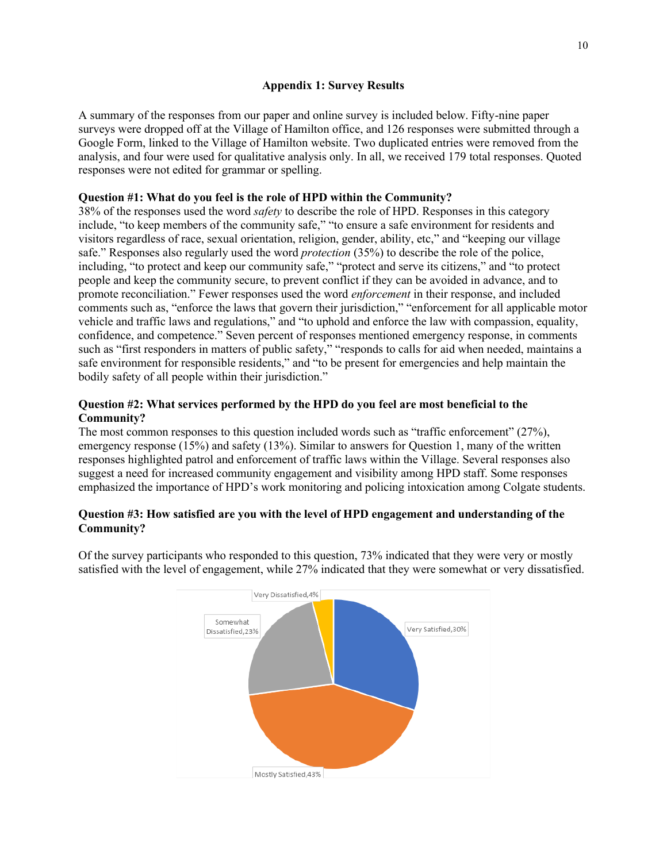## **Appendix 1: Survey Results**

A summary of the responses from our paper and online survey is included below. Fifty-nine paper surveys were dropped off at the Village of Hamilton office, and 126 responses were submitted through a Google Form, linked to the Village of Hamilton website. Two duplicated entries were removed from the analysis, and four were used for qualitative analysis only. In all, we received 179 total responses. Quoted responses were not edited for grammar or spelling.

# **Question #1: What do you feel is the role of HPD within the Community?**

38% of the responses used the word *safety* to describe the role of HPD. Responses in this category include, "to keep members of the community safe," "to ensure a safe environment for residents and visitors regardless of race, sexual orientation, religion, gender, ability, etc," and "keeping our village safe." Responses also regularly used the word *protection* (35%) to describe the role of the police, including, "to protect and keep our community safe," "protect and serve its citizens," and "to protect people and keep the community secure, to prevent conflict if they can be avoided in advance, and to promote reconciliation." Fewer responses used the word *enforcement* in their response, and included comments such as, "enforce the laws that govern their jurisdiction," "enforcement for all applicable motor vehicle and traffic laws and regulations," and "to uphold and enforce the law with compassion, equality, confidence, and competence." Seven percent of responses mentioned emergency response, in comments such as "first responders in matters of public safety," "responds to calls for aid when needed, maintains a safe environment for responsible residents," and "to be present for emergencies and help maintain the bodily safety of all people within their jurisdiction."

## **Question #2: What services performed by the HPD do you feel are most beneficial to the Community?**

The most common responses to this question included words such as "traffic enforcement" (27%), emergency response (15%) and safety (13%). Similar to answers for Question 1, many of the written responses highlighted patrol and enforcement of traffic laws within the Village. Several responses also suggest a need for increased community engagement and visibility among HPD staff. Some responses emphasized the importance of HPD's work monitoring and policing intoxication among Colgate students.

## **Question #3: How satisfied are you with the level of HPD engagement and understanding of the Community?**



Of the survey participants who responded to this question, 73% indicated that they were very or mostly satisfied with the level of engagement, while 27% indicated that they were somewhat or very dissatisfied.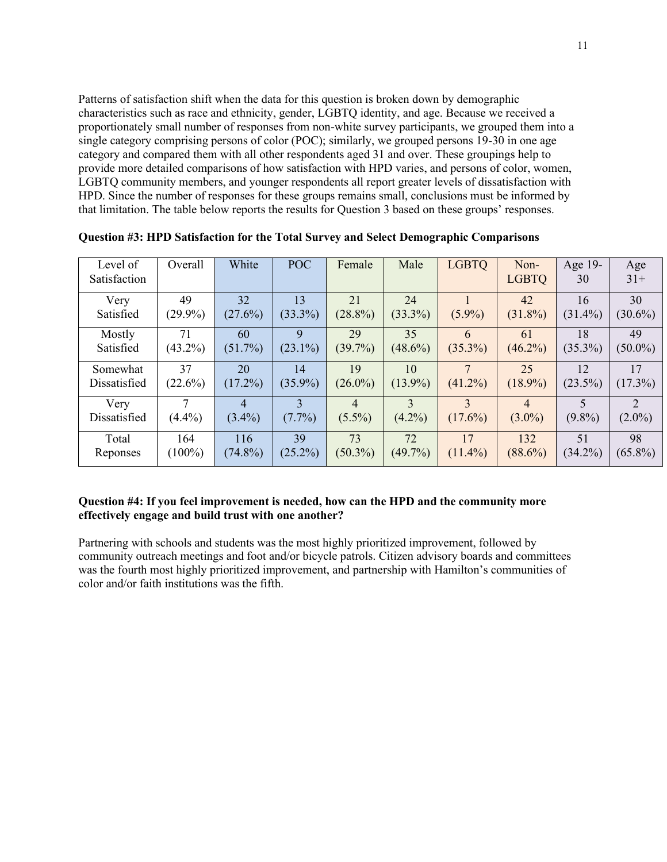Patterns of satisfaction shift when the data for this question is broken down by demographic characteristics such as race and ethnicity, gender, LGBTQ identity, and age. Because we received a proportionately small number of responses from non-white survey participants, we grouped them into a single category comprising persons of color (POC); similarly, we grouped persons 19-30 in one age category and compared them with all other respondents aged 31 and over. These groupings help to provide more detailed comparisons of how satisfaction with HPD varies, and persons of color, women, LGBTQ community members, and younger respondents all report greater levels of dissatisfaction with HPD. Since the number of responses for these groups remains small, conclusions must be informed by that limitation. The table below reports the results for Question 3 based on these groups' responses.

| Level of<br>Satisfaction | Overall    | White      | <b>POC</b>    | Female         | Male          | <b>LGBTQ</b>  | Non-<br><b>LGBTQ</b> | Age 19-<br>30            | Age<br>$31+$ |
|--------------------------|------------|------------|---------------|----------------|---------------|---------------|----------------------|--------------------------|--------------|
| Very                     | 49         | 32         | 13            | 21             | 24            | $(5.9\%)$     | 42                   | 16                       | 30           |
| Satisfied                | $(29.9\%)$ | $(27.6\%)$ | $(33.3\%)$    | $(28.8\%)$     | $(33.3\%)$    |               | $(31.8\%)$           | $(31.4\%)$               | $(30.6\%)$   |
| Mostly                   | 71         | 60         | 9             | 29             | 35            | 6             | 61                   | 18                       | 49           |
| Satisfied                | $(43.2\%)$ | $(51.7\%)$ | $(23.1\%)$    | $(39.7\%)$     | $(48.6\%)$    | $(35.3\%)$    | $(46.2\%)$           | $(35.3\%)$               | $(50.0\%)$   |
| Somewhat                 | 37         | 20         | 14            | 19             | 10            | $\tau$        | 25                   | 12                       | 17           |
| Dissatisfied             | (22.6%)    | $(17.2\%)$ | $(35.9\%)$    | $(26.0\%)$     | $(13.9\%)$    | $(41.2\%)$    | $(18.9\%)$           | $(23.5\%)$               | $(17.3\%)$   |
| Very                     | 7          | 4          | $\mathcal{E}$ | $\overline{4}$ | $\mathcal{E}$ | $\mathcal{E}$ | 4                    | $\overline{\phantom{0}}$ | 2            |
| Dissatisfied             | $(4.4\%)$  | $(3.4\%)$  | $(7.7\%)$     | $(5.5\%)$      | $(4.2\%)$     | $(17.6\%)$    | $(3.0\%)$            | $(9.8\%)$                | $(2.0\%)$    |
| Total                    | 164        | 116        | 39            | 73             | 72            | 17            | 132                  | 51                       | 98           |
| Reponses                 | $(100\%)$  | $(74.8\%)$ | $(25.2\%)$    | $(50.3\%)$     | $(49.7\%)$    | $(11.4\%)$    | $(88.6\%)$           | $(34.2\%)$               | $(65.8\%)$   |

**Question #3: HPD Satisfaction for the Total Survey and Select Demographic Comparisons**

## **Question #4: If you feel improvement is needed, how can the HPD and the community more effectively engage and build trust with one another?**

Partnering with schools and students was the most highly prioritized improvement, followed by community outreach meetings and foot and/or bicycle patrols. Citizen advisory boards and committees was the fourth most highly prioritized improvement, and partnership with Hamilton's communities of color and/or faith institutions was the fifth.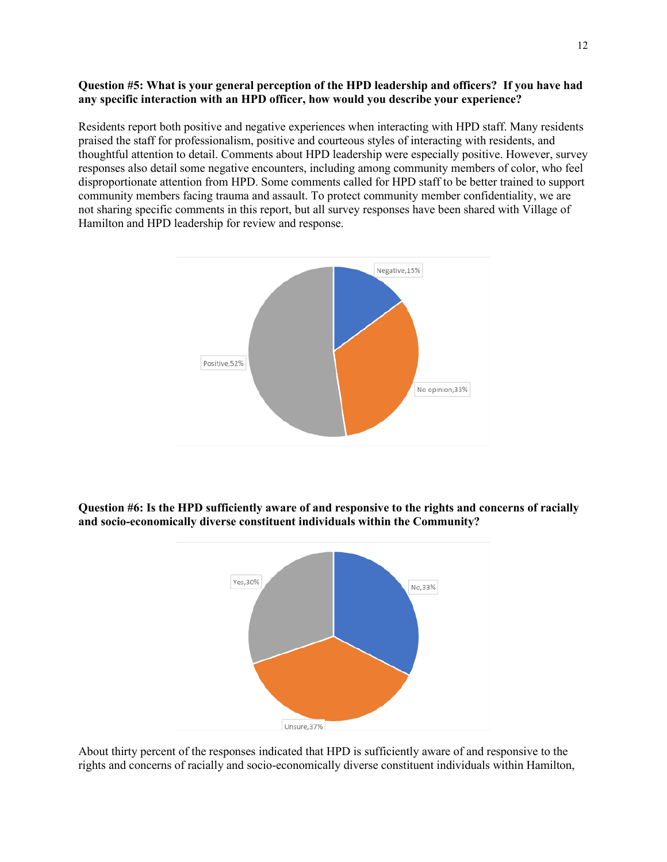## **Question #5: What is your general perception of the HPD leadership and officers? If you have had any specific interaction with an HPD officer, how would you describe your experience?**

Residents report both positive and negative experiences when interacting with HPD staff. Many residents praised the staff for professionalism, positive and courteous styles of interacting with residents, and thoughtful attention to detail. Comments about HPD leadership were especially positive. However, survey responses also detail some negative encounters, including among community members of color, who feel disproportionate attention from HPD. Some comments called for HPD staff to be better trained to support community members facing trauma and assault. To protect community member confidentiality, we are not sharing specific comments in this report, but all survey responses have been shared with Village of Hamilton and HPD leadership for review and response.



**Question #6: Is the HPD sufficiently aware of and responsive to the rights and concerns of racially and socio-economically diverse constituent individuals within the Community?**



About thirty percent of the responses indicated that HPD is sufficiently aware of and responsive to the rights and concerns of racially and socio-economically diverse constituent individuals within Hamilton,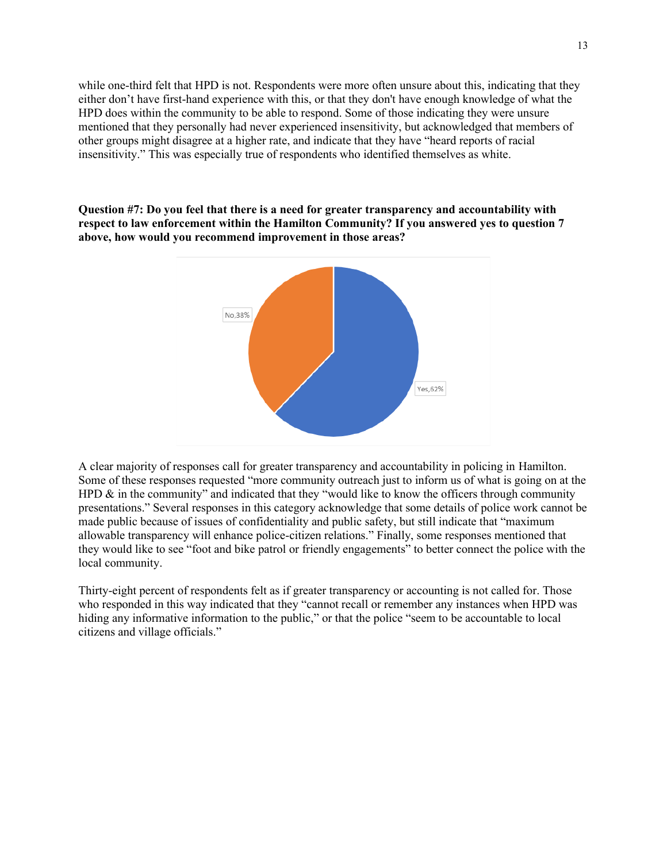while one-third felt that HPD is not. Respondents were more often unsure about this, indicating that they either don't have first-hand experience with this, or that they don't have enough knowledge of what the HPD does within the community to be able to respond. Some of those indicating they were unsure mentioned that they personally had never experienced insensitivity, but acknowledged that members of other groups might disagree at a higher rate, and indicate that they have "heard reports of racial insensitivity." This was especially true of respondents who identified themselves as white.

**Question #7: Do you feel that there is a need for greater transparency and accountability with respect to law enforcement within the Hamilton Community? If you answered yes to question 7 above, how would you recommend improvement in those areas?**



A clear majority of responses call for greater transparency and accountability in policing in Hamilton. Some of these responses requested "more community outreach just to inform us of what is going on at the HPD  $\&$  in the community" and indicated that they "would like to know the officers through community presentations." Several responses in this category acknowledge that some details of police work cannot be made public because of issues of confidentiality and public safety, but still indicate that "maximum allowable transparency will enhance police-citizen relations." Finally, some responses mentioned that they would like to see "foot and bike patrol or friendly engagements" to better connect the police with the local community.

Thirty-eight percent of respondents felt as if greater transparency or accounting is not called for. Those who responded in this way indicated that they "cannot recall or remember any instances when HPD was hiding any informative information to the public," or that the police "seem to be accountable to local citizens and village officials."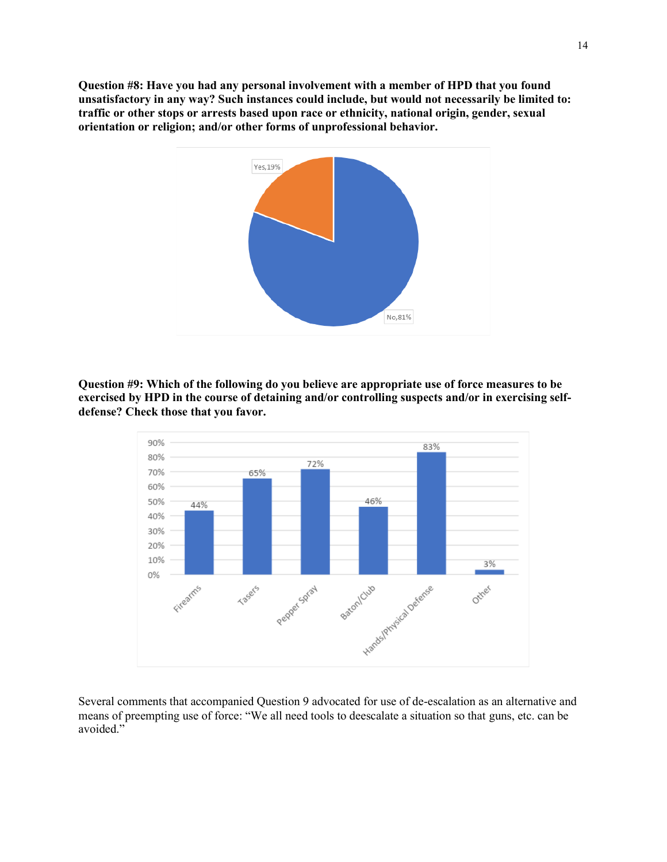**Question #8: Have you had any personal involvement with a member of HPD that you found unsatisfactory in any way? Such instances could include, but would not necessarily be limited to: traffic or other stops or arrests based upon race or ethnicity, national origin, gender, sexual orientation or religion; and/or other forms of unprofessional behavior.**



**Question #9: Which of the following do you believe are appropriate use of force measures to be exercised by HPD in the course of detaining and/or controlling suspects and/or in exercising selfdefense? Check those that you favor.**



Several comments that accompanied Question 9 advocated for use of de-escalation as an alternative and means of preempting use of force: "We all need tools to deescalate a situation so that guns, etc. can be avoided."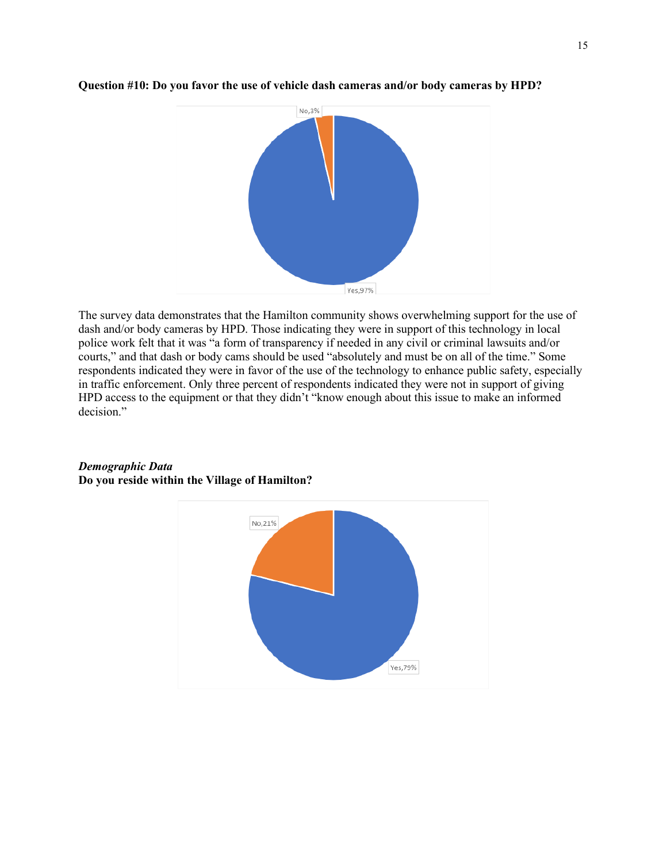

## **Question #10: Do you favor the use of vehicle dash cameras and/or body cameras by HPD?**

The survey data demonstrates that the Hamilton community shows overwhelming support for the use of dash and/or body cameras by HPD. Those indicating they were in support of this technology in local police work felt that it was "a form of transparency if needed in any civil or criminal lawsuits and/or courts," and that dash or body cams should be used "absolutely and must be on all of the time." Some respondents indicated they were in favor of the use of the technology to enhance public safety, especially in traffic enforcement. Only three percent of respondents indicated they were not in support of giving HPD access to the equipment or that they didn't "know enough about this issue to make an informed decision."



## *Demographic Data* **Do you reside within the Village of Hamilton?**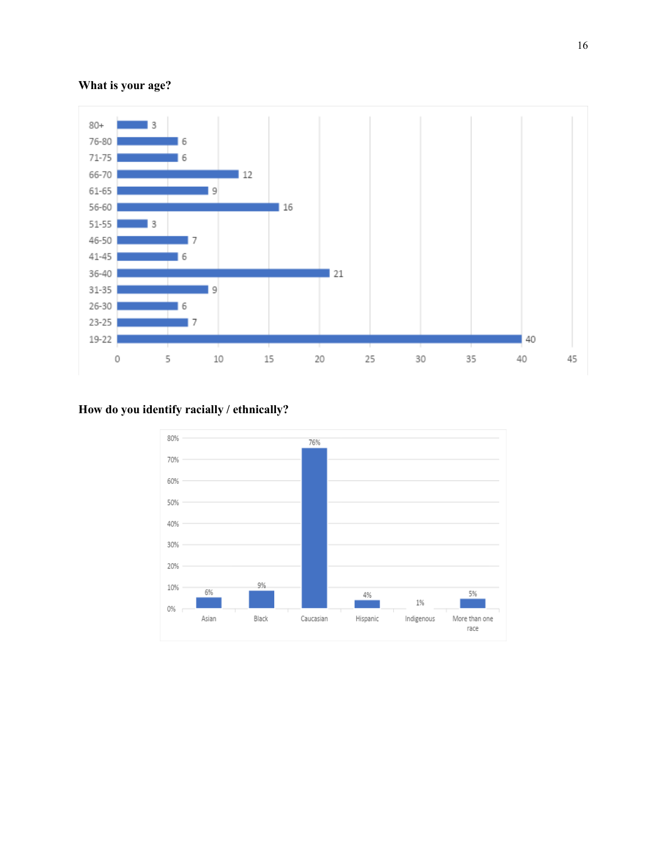# **What is your age?**



# **How do you identify racially / ethnically?**

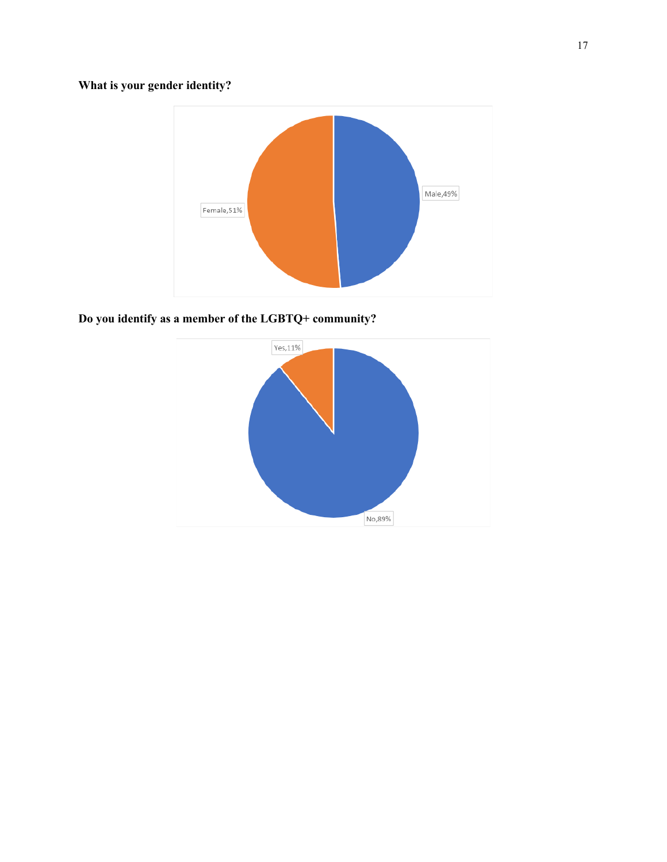# **What is your gender identity?**



**Do you identify as a member of the LGBTQ+ community?**

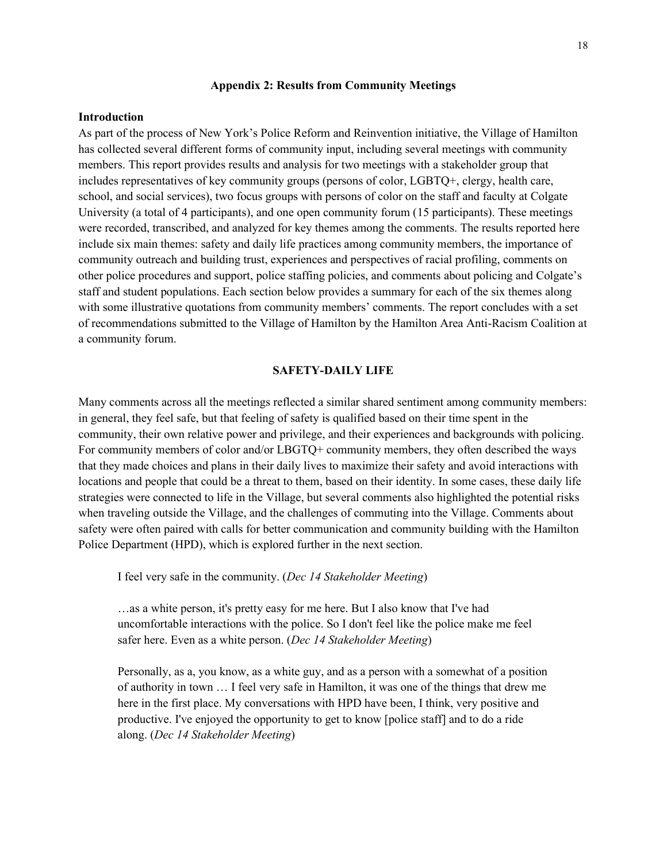### **Appendix 2: Results from Community Meetings**

#### **Introduction**

As part of the process of New York's Police Reform and Reinvention initiative, the Village of Hamilton has collected several different forms of community input, including several meetings with community members. This report provides results and analysis for two meetings with a stakeholder group that includes representatives of key community groups (persons of color, LGBTQ+, clergy, health care, school, and social services), two focus groups with persons of color on the staff and faculty at Colgate University (a total of 4 participants), and one open community forum (15 participants). These meetings were recorded, transcribed, and analyzed for key themes among the comments. The results reported here include six main themes: safety and daily life practices among community members, the importance of community outreach and building trust, experiences and perspectives of racial profiling, comments on other police procedures and support, police staffing policies, and comments about policing and Colgate's staff and student populations. Each section below provides a summary for each of the six themes along with some illustrative quotations from community members' comments. The report concludes with a set of recommendations submitted to the Village of Hamilton by the Hamilton Area Anti-Racism Coalition at a community forum.

#### **SAFETY-DAILY LIFE**

Many comments across all the meetings reflected a similar shared sentiment among community members: in general, they feel safe, but that feeling of safety is qualified based on their time spent in the community, their own relative power and privilege, and their experiences and backgrounds with policing. For community members of color and/or LBGTQ+ community members, they often described the ways that they made choices and plans in their daily lives to maximize their safety and avoid interactions with locations and people that could be a threat to them, based on their identity. In some cases, these daily life strategies were connected to life in the Village, but several comments also highlighted the potential risks when traveling outside the Village, and the challenges of commuting into the Village. Comments about safety were often paired with calls for better communication and community building with the Hamilton Police Department (HPD), which is explored further in the next section.

I feel very safe in the community. (*Dec 14 Stakeholder Meeting*)

…as a white person, it's pretty easy for me here. But I also know that I've had uncomfortable interactions with the police. So I don't feel like the police make me feel safer here. Even as a white person. (*Dec 14 Stakeholder Meeting*)

Personally, as a, you know, as a white guy, and as a person with a somewhat of a position of authority in town … I feel very safe in Hamilton, it was one of the things that drew me here in the first place. My conversations with HPD have been, I think, very positive and productive. I've enjoyed the opportunity to get to know [police staff] and to do a ride along. (*Dec 14 Stakeholder Meeting*)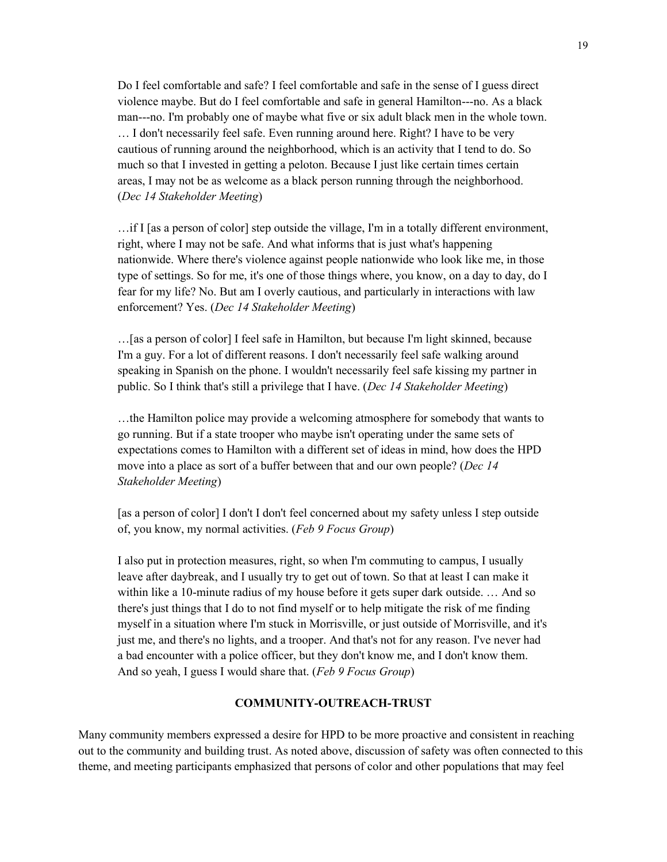Do I feel comfortable and safe? I feel comfortable and safe in the sense of I guess direct violence maybe. But do I feel comfortable and safe in general Hamilton---no. As a black man---no. I'm probably one of maybe what five or six adult black men in the whole town. … I don't necessarily feel safe. Even running around here. Right? I have to be very cautious of running around the neighborhood, which is an activity that I tend to do. So much so that I invested in getting a peloton. Because I just like certain times certain areas, I may not be as welcome as a black person running through the neighborhood. (*Dec 14 Stakeholder Meeting*)

…if I [as a person of color] step outside the village, I'm in a totally different environment, right, where I may not be safe. And what informs that is just what's happening nationwide. Where there's violence against people nationwide who look like me, in those type of settings. So for me, it's one of those things where, you know, on a day to day, do I fear for my life? No. But am I overly cautious, and particularly in interactions with law enforcement? Yes. (*Dec 14 Stakeholder Meeting*)

…[as a person of color] I feel safe in Hamilton, but because I'm light skinned, because I'm a guy. For a lot of different reasons. I don't necessarily feel safe walking around speaking in Spanish on the phone. I wouldn't necessarily feel safe kissing my partner in public. So I think that's still a privilege that I have. (*Dec 14 Stakeholder Meeting*)

…the Hamilton police may provide a welcoming atmosphere for somebody that wants to go running. But if a state trooper who maybe isn't operating under the same sets of expectations comes to Hamilton with a different set of ideas in mind, how does the HPD move into a place as sort of a buffer between that and our own people? (*Dec 14 Stakeholder Meeting*)

[as a person of color] I don't I don't feel concerned about my safety unless I step outside of, you know, my normal activities. (*Feb 9 Focus Group*)

I also put in protection measures, right, so when I'm commuting to campus, I usually leave after daybreak, and I usually try to get out of town. So that at least I can make it within like a 10-minute radius of my house before it gets super dark outside. … And so there's just things that I do to not find myself or to help mitigate the risk of me finding myself in a situation where I'm stuck in Morrisville, or just outside of Morrisville, and it's just me, and there's no lights, and a trooper. And that's not for any reason. I've never had a bad encounter with a police officer, but they don't know me, and I don't know them. And so yeah, I guess I would share that. (*Feb 9 Focus Group*)

## **COMMUNITY-OUTREACH-TRUST**

Many community members expressed a desire for HPD to be more proactive and consistent in reaching out to the community and building trust. As noted above, discussion of safety was often connected to this theme, and meeting participants emphasized that persons of color and other populations that may feel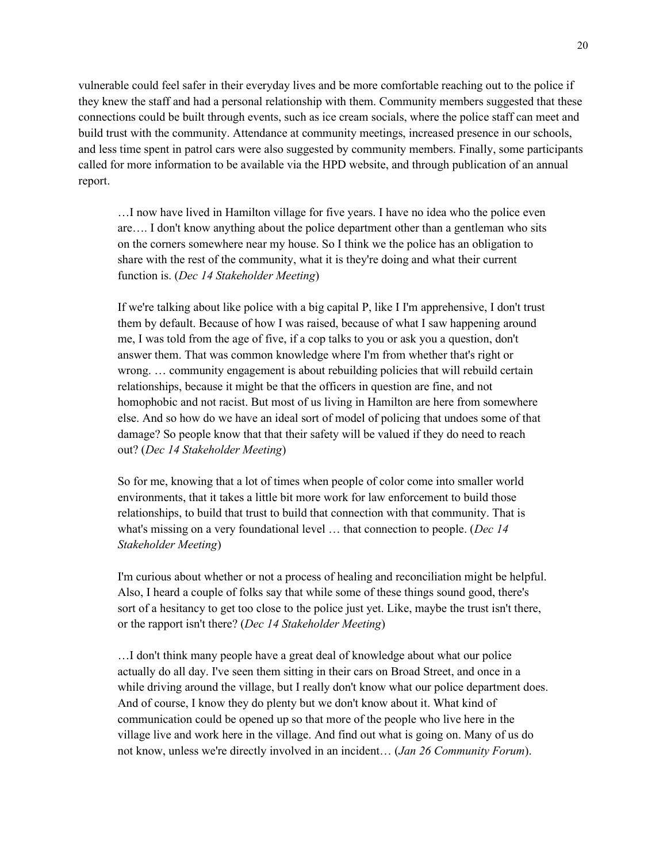vulnerable could feel safer in their everyday lives and be more comfortable reaching out to the police if they knew the staff and had a personal relationship with them. Community members suggested that these connections could be built through events, such as ice cream socials, where the police staff can meet and build trust with the community. Attendance at community meetings, increased presence in our schools, and less time spent in patrol cars were also suggested by community members. Finally, some participants called for more information to be available via the HPD website, and through publication of an annual report.

…I now have lived in Hamilton village for five years. I have no idea who the police even are…. I don't know anything about the police department other than a gentleman who sits on the corners somewhere near my house. So I think we the police has an obligation to share with the rest of the community, what it is they're doing and what their current function is. (*Dec 14 Stakeholder Meeting*)

If we're talking about like police with a big capital P, like I I'm apprehensive, I don't trust them by default. Because of how I was raised, because of what I saw happening around me, I was told from the age of five, if a cop talks to you or ask you a question, don't answer them. That was common knowledge where I'm from whether that's right or wrong. … community engagement is about rebuilding policies that will rebuild certain relationships, because it might be that the officers in question are fine, and not homophobic and not racist. But most of us living in Hamilton are here from somewhere else. And so how do we have an ideal sort of model of policing that undoes some of that damage? So people know that that their safety will be valued if they do need to reach out? (*Dec 14 Stakeholder Meeting*)

So for me, knowing that a lot of times when people of color come into smaller world environments, that it takes a little bit more work for law enforcement to build those relationships, to build that trust to build that connection with that community. That is what's missing on a very foundational level … that connection to people. (*Dec 14 Stakeholder Meeting*)

I'm curious about whether or not a process of healing and reconciliation might be helpful. Also, I heard a couple of folks say that while some of these things sound good, there's sort of a hesitancy to get too close to the police just yet. Like, maybe the trust isn't there, or the rapport isn't there? (*Dec 14 Stakeholder Meeting*)

…I don't think many people have a great deal of knowledge about what our police actually do all day. I've seen them sitting in their cars on Broad Street, and once in a while driving around the village, but I really don't know what our police department does. And of course, I know they do plenty but we don't know about it. What kind of communication could be opened up so that more of the people who live here in the village live and work here in the village. And find out what is going on. Many of us do not know, unless we're directly involved in an incident… (*Jan 26 Community Forum*).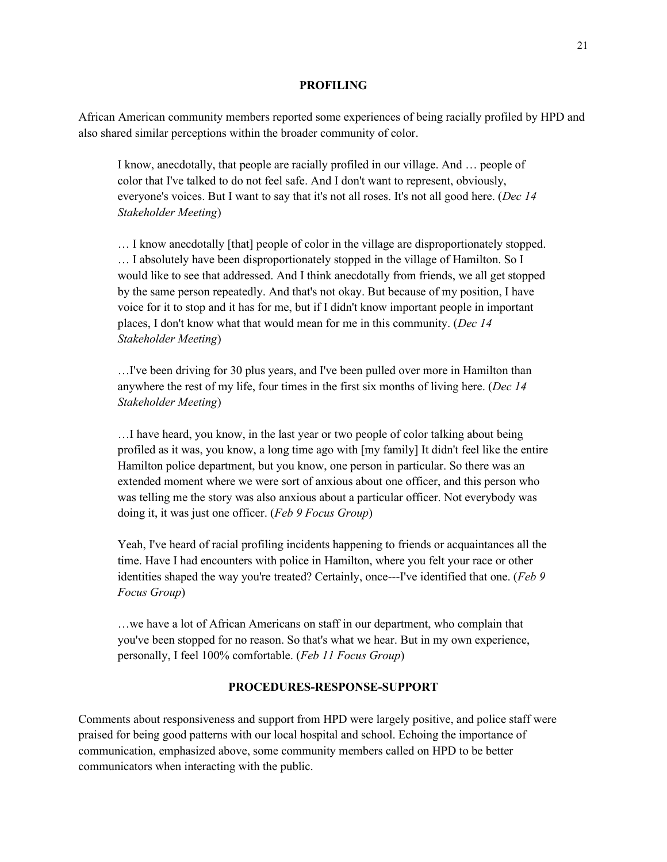#### **PROFILING**

African American community members reported some experiences of being racially profiled by HPD and also shared similar perceptions within the broader community of color.

I know, anecdotally, that people are racially profiled in our village. And … people of color that I've talked to do not feel safe. And I don't want to represent, obviously, everyone's voices. But I want to say that it's not all roses. It's not all good here. (*Dec 14 Stakeholder Meeting*)

… I know anecdotally [that] people of color in the village are disproportionately stopped. … I absolutely have been disproportionately stopped in the village of Hamilton. So I would like to see that addressed. And I think anecdotally from friends, we all get stopped by the same person repeatedly. And that's not okay. But because of my position, I have voice for it to stop and it has for me, but if I didn't know important people in important places, I don't know what that would mean for me in this community. (*Dec 14 Stakeholder Meeting*)

…I've been driving for 30 plus years, and I've been pulled over more in Hamilton than anywhere the rest of my life, four times in the first six months of living here. (*Dec 14 Stakeholder Meeting*)

…I have heard, you know, in the last year or two people of color talking about being profiled as it was, you know, a long time ago with [my family] It didn't feel like the entire Hamilton police department, but you know, one person in particular. So there was an extended moment where we were sort of anxious about one officer, and this person who was telling me the story was also anxious about a particular officer. Not everybody was doing it, it was just one officer. (*Feb 9 Focus Group*)

Yeah, I've heard of racial profiling incidents happening to friends or acquaintances all the time. Have I had encounters with police in Hamilton, where you felt your race or other identities shaped the way you're treated? Certainly, once---I've identified that one. (*Feb 9 Focus Group*)

…we have a lot of African Americans on staff in our department, who complain that you've been stopped for no reason. So that's what we hear. But in my own experience, personally, I feel 100% comfortable. (*Feb 11 Focus Group*)

#### **PROCEDURES-RESPONSE-SUPPORT**

Comments about responsiveness and support from HPD were largely positive, and police staff were praised for being good patterns with our local hospital and school. Echoing the importance of communication, emphasized above, some community members called on HPD to be better communicators when interacting with the public.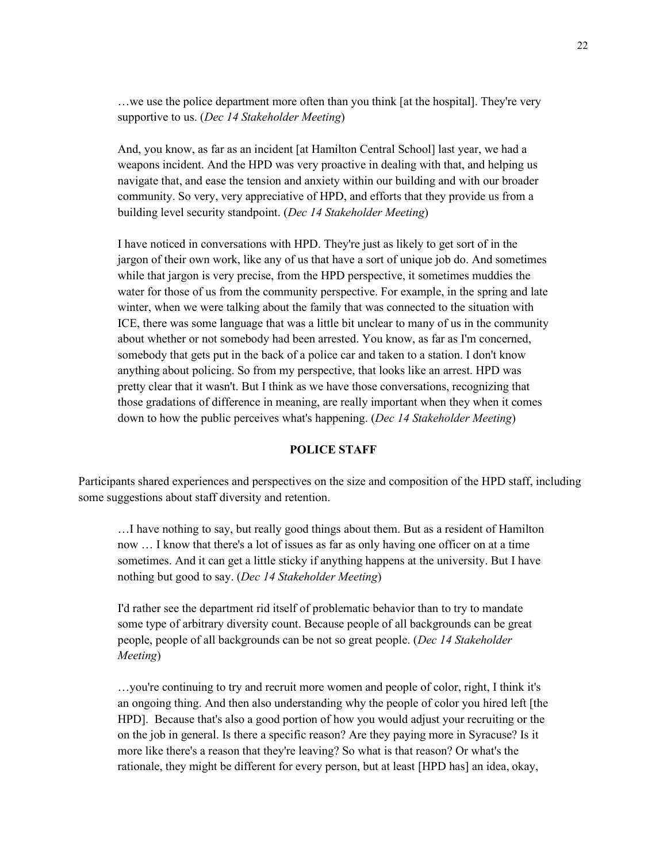…we use the police department more often than you think [at the hospital]. They're very supportive to us. (*Dec 14 Stakeholder Meeting*)

And, you know, as far as an incident [at Hamilton Central School] last year, we had a weapons incident. And the HPD was very proactive in dealing with that, and helping us navigate that, and ease the tension and anxiety within our building and with our broader community. So very, very appreciative of HPD, and efforts that they provide us from a building level security standpoint. (*Dec 14 Stakeholder Meeting*)

I have noticed in conversations with HPD. They're just as likely to get sort of in the jargon of their own work, like any of us that have a sort of unique job do. And sometimes while that jargon is very precise, from the HPD perspective, it sometimes muddies the water for those of us from the community perspective. For example, in the spring and late winter, when we were talking about the family that was connected to the situation with ICE, there was some language that was a little bit unclear to many of us in the community about whether or not somebody had been arrested. You know, as far as I'm concerned, somebody that gets put in the back of a police car and taken to a station. I don't know anything about policing. So from my perspective, that looks like an arrest. HPD was pretty clear that it wasn't. But I think as we have those conversations, recognizing that those gradations of difference in meaning, are really important when they when it comes down to how the public perceives what's happening. (*Dec 14 Stakeholder Meeting*)

## **POLICE STAFF**

Participants shared experiences and perspectives on the size and composition of the HPD staff, including some suggestions about staff diversity and retention.

…I have nothing to say, but really good things about them. But as a resident of Hamilton now … I know that there's a lot of issues as far as only having one officer on at a time sometimes. And it can get a little sticky if anything happens at the university. But I have nothing but good to say. (*Dec 14 Stakeholder Meeting*)

I'd rather see the department rid itself of problematic behavior than to try to mandate some type of arbitrary diversity count. Because people of all backgrounds can be great people, people of all backgrounds can be not so great people. (*Dec 14 Stakeholder Meeting*)

…you're continuing to try and recruit more women and people of color, right, I think it's an ongoing thing. And then also understanding why the people of color you hired left [the HPD]. Because that's also a good portion of how you would adjust your recruiting or the on the job in general. Is there a specific reason? Are they paying more in Syracuse? Is it more like there's a reason that they're leaving? So what is that reason? Or what's the rationale, they might be different for every person, but at least [HPD has] an idea, okay,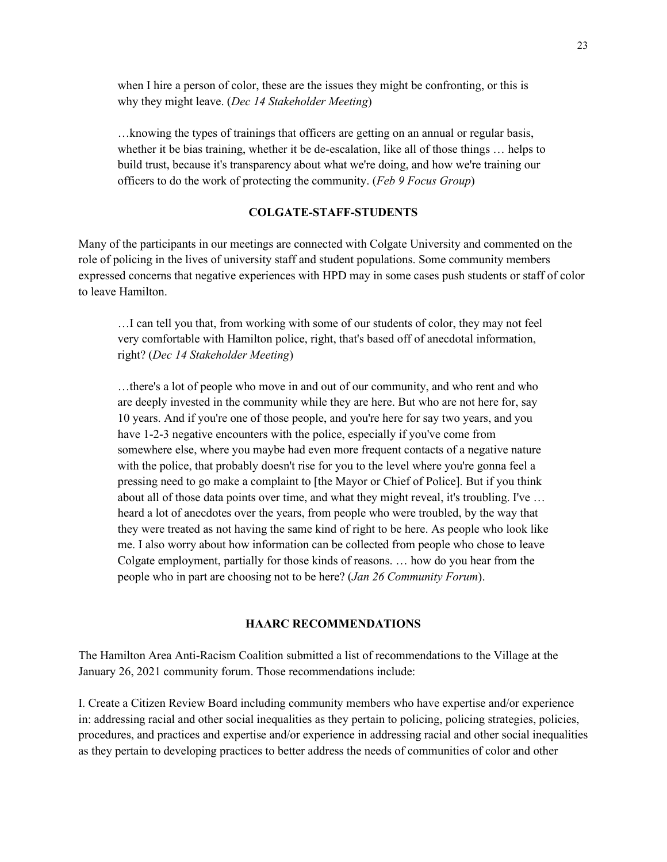when I hire a person of color, these are the issues they might be confronting, or this is why they might leave. (*Dec 14 Stakeholder Meeting*)

…knowing the types of trainings that officers are getting on an annual or regular basis, whether it be bias training, whether it be de-escalation, like all of those things … helps to build trust, because it's transparency about what we're doing, and how we're training our officers to do the work of protecting the community. (*Feb 9 Focus Group*)

### **COLGATE-STAFF-STUDENTS**

Many of the participants in our meetings are connected with Colgate University and commented on the role of policing in the lives of university staff and student populations. Some community members expressed concerns that negative experiences with HPD may in some cases push students or staff of color to leave Hamilton.

…I can tell you that, from working with some of our students of color, they may not feel very comfortable with Hamilton police, right, that's based off of anecdotal information, right? (*Dec 14 Stakeholder Meeting*)

…there's a lot of people who move in and out of our community, and who rent and who are deeply invested in the community while they are here. But who are not here for, say 10 years. And if you're one of those people, and you're here for say two years, and you have 1-2-3 negative encounters with the police, especially if you've come from somewhere else, where you maybe had even more frequent contacts of a negative nature with the police, that probably doesn't rise for you to the level where you're gonna feel a pressing need to go make a complaint to [the Mayor or Chief of Police]. But if you think about all of those data points over time, and what they might reveal, it's troubling. I've … heard a lot of anecdotes over the years, from people who were troubled, by the way that they were treated as not having the same kind of right to be here. As people who look like me. I also worry about how information can be collected from people who chose to leave Colgate employment, partially for those kinds of reasons. … how do you hear from the people who in part are choosing not to be here? (*Jan 26 Community Forum*).

#### **HAARC RECOMMENDATIONS**

The Hamilton Area Anti-Racism Coalition submitted a list of recommendations to the Village at the January 26, 2021 community forum. Those recommendations include:

I. Create a Citizen Review Board including community members who have expertise and/or experience in: addressing racial and other social inequalities as they pertain to policing, policing strategies, policies, procedures, and practices and expertise and/or experience in addressing racial and other social inequalities as they pertain to developing practices to better address the needs of communities of color and other